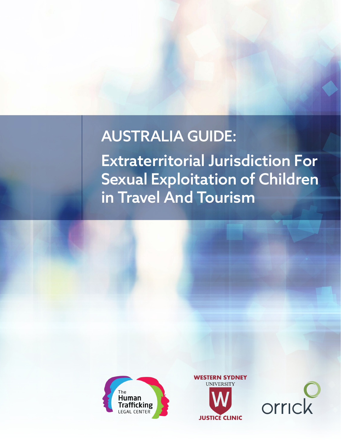# AUSTRALIA GUIDE:

Extraterritorial Jurisdiction For Sexual Exploitation of Children in Travel And Tourism





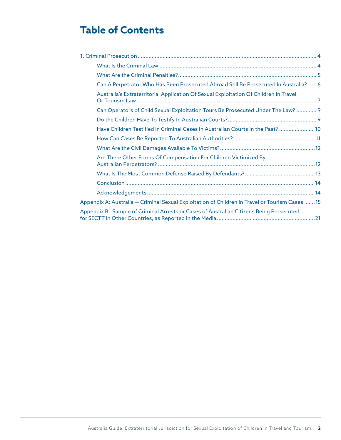## **Table of Contents**

| Can A Perpetrator Who Has Been Prosecuted Abroad Still Be Prosecuted In Australia? 6            |
|-------------------------------------------------------------------------------------------------|
| Australia's Extraterritorial Application Of Sexual Exploitation Of Children In Travel           |
| Can Operators of Child Sexual Exploitation Tours Be Prosecuted Under The Law?  9                |
|                                                                                                 |
| Have Children Testified In Criminal Cases In Australian Courts In the Past?  10                 |
|                                                                                                 |
|                                                                                                 |
| Are There Other Forms Of Compensation For Children Victimized By                                |
|                                                                                                 |
|                                                                                                 |
|                                                                                                 |
| Appendix A: Australia - Criminal Sexual Exploitation of Children in Travel or Tourism Cases  15 |
| Appendix B: Sample of Criminal Arrests or Cases of Australian Citizens Being Prosecuted         |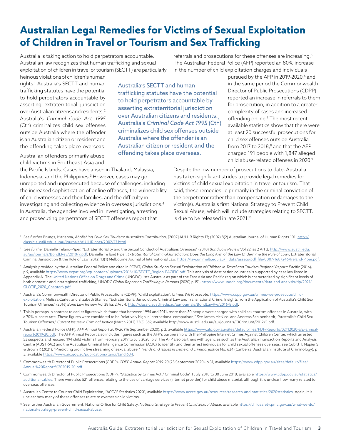## **Australian Legal Remedies for Victims of Sexual Exploitation of Children in Travel or Tourism and Sex Trafficking**

Australia is taking action to hold perpetrators accountable. Australian law recognizes that human trafficking and sexual exploitation of children in travel or tourism (SECTT) are particularly

referrals and prosecutions for these offenses are increasing.<sup>5</sup> The Australian Federal Police (AFP) reported an 80% increase in the number of child exploitation charges and individuals

heinous violations of children's human rights.1 Australia's SECTT and human trafficking statutes have the potential to hold perpetrators accountable by asserting extraterritorial jurisdiction over Australian citizens and residents.2 Australia's *Criminal Code Act 1995* (Cth) criminalizes child sex offenses outside Australia where the offender is an Australian citizen or resident and the offending takes place overseas.

Australian offenders primarily abuse child victims in Southeast Asia and

the Pacific Islands. Cases have arisen in Thailand, Malaysia, Indonesia, and the Philippines.3 However, cases may go unreported and unprosecuted because of challenges, including the increased sophistication of online offenses, the vulnerability of child witnesses and their families, and the difficulty in investigating and collecting evidence in overseas jurisdictions.4 In Australia, the agencies involved in investigating, arresting and prosecuting perpetrators of SECTT offenses report that

Australia's SECTT and human trafficking statutes have the potential to hold perpetrators accountable by asserting extraterritorial jurisdiction over Australian citizens and residents. Australia's *Criminal Code Act 1995* (Cth) criminalizes child sex offenses outside Australia where the offender is an Australian citizen or resident and the offending takes place overseas.

pursued by the AFP in 2019-2020,<sup>6</sup> and in the same period the Commonwealth Director of Public Prosecutions (CDPP) reported an increase in referrals to them for prosecution, in addition to a greater complexity of cases and increased offending online.7 The most recent available statistics show that there were at least 20 successful prosecutions for child sex offenses outside Australia from 2017 to 2018, $8$  and that the AFP charged 191 people with 1,847 alleged child abuse-related offenses in 2020.9

Despite the low number of prosecutions to date, Australia has taken significant strides to provide legal remedies for victims of child sexual exploitation in travel or tourism. That said, these remedies lie primarily in the criminal conviction of the perpetrator rather than compensation or damages to the victim(s). Australia's first National Strategy to Prevent Child Sexual Abuse, which will include strategies relating to SECTT, is due to be released in late 2021.<sup>10</sup>

- <sup>1</sup> *See further* Brungs, Marianna, *Abolishing Child Sex Tourism: Australia's Contribution*, [2002] AUJ HR Rights 17; (2002) 8(2) Australian Journal of Human Rights 101, http:// classic.austlii.edu.au/au/journals/AUJlHRights/2002/17.html.
- <sup>2</sup> *See further* Danielle Ireland-Piper, "Extraterritoriality and the Sexual Conduct of Australians Overseas" (2010) *Bond Law Review* Vol 22 Iss 2 Art 2, http://www.austlii.edu. au/au/journals/BondLRev/2010/7.pdf; Danielle Ire land Piper, *Extraterritorial Criminal Jurisdiction: Does the Long Arm of the Law Undermine the Rule of Law?*, Extraterritorial Criminal Jurisdiction & the Rule of Law (2012) 13(1) Melbourne Journal of International Law, https://law.unimelb.edu.au/\_data/assets/pdf\_file/0007/1687246/Ireland-Piper.pdf.
- <sup>3</sup> Analysis provided by the Australian Federal Police and cited in ECPAT, *Global Study on Sexual Exploitation of Children in Travel and Tourism Regional Report: Pacific (2016),* p 9, available https://www.ecpat.org/wp-content/uploads/2016/10/SECTT\_Region-PACIFIC.pdf. This analysis of destination countries is supported by case law listed in Appendix A. The United Nations Office on Drugs and Crime (UNODC) lists Australia as part of the East Asia and Pacific region which is characterized by significant levels of both domestic and intraregional trafficking, UNODC *Global Report on Trafficking in Persons* (2020) p 151, https://www.unodc.org/documents/data-and-analysis/tip/2021/ GLOTiP\_2020\_Chapter6.pdf.
- <sup>4</sup> Australia's Commonwealth Director of Public Prosecutions (CDPP), 'Child Exploitation', *Crimes We Prosecute*, https://www.cdpp.gov.au/crimes-we-prosecute/childexploitation; Melissa Curley and Elizabeth Stanley, "Extraterritorial Jurisdiction, Criminal Law and Transnational Crime: Insights from the Application of Australia's Child Sex Tourism Offenses" (2016) *Bond Law Review* Vol 28 Iss 2 Art 4, http://classic.austlii.edu.au/au/journals/BondLawRw/2016/8.pdf.
- <sup>5</sup> This is perhaps in contrast to earlier figures which found that between 1994 and 2011, more than 30 people were charged with child sex tourism offenses in Australia, with a 70% success rate. These figures were considered to be "relatively high in international comparison," *See* James McNicol and Andreas Schloenhardt, "Australia's Child Sex Tourism Offenses," *Current Issues in Criminal Justice* (March 2012) 23(3) 369, available http://www.austlii.edu.au/au/journals/CICrimJust/2012/5.pdf.
- <sup>6</sup> Australian Federal Police (AFP), *AFP Annual Report 2019-20* (16 September 2020), p 2, available https://www.afp.gov.au/sites/default/files/PDF/Reports/02112020-afp-annualreport-2019-20.pdf. The AFP Annual Report also includes figures such as the AFP's partnership with the Philippine Internet Crimes Against Children Center, which arrested 53 suspects and rescued 194 child victims from February 2019 to July 2020, p 3. The AFP also partners with agencies such as the Australian Transaction Reports and Analysis Centre (AUSTRAC) and the Australian Criminal Intelligence Commission (ACIC) to identify and then arrest individuals for child sexual offenses overseas, see Cubitt T, Napier S & Brown R (2021), "Predicting prolific live streaming of sexual abuse," *Trends and issues in crime and criminal justice* No. 634 (Canberra: Australian Institute of Criminology), p 3, available https://www.aic.gov.au/publications/tandi/tandi634.
- <sup>7</sup> Commonwealth Director of Public Prosecutions (CDPP), *CDPP Annual Report 2019-20* (25 September 2020), p 31, available https://www.cdpp.gov.au/sites/default/files/ Annual%20Report%202019-20.pdf.
- <sup>8</sup> Commonwealth Director of Public Prosecutions (CDPP), "Statistics by Crimes Act / Criminal Code" 1 July 2018 to 30 June 2018, available https://www.cdpp.gov.au/statistics/ additional-tables. There were also 521 offenses relating to the use of carriage services (internet provider) for child abuse material, although it is unclear how many related to overseas offenses.
- 9 Australian Centre to Counter Child Exploitation, "ACCCE Statistics 2020", available https://www.accce.gov.au/resources/research-and-statistics/2020statistics. Again, it is unclear how many of these offenses relate to overseas child victims.
- <sup>10</sup> See further Australian Government, National Office for Child Safety, *National Strategy to Prevent Child Sexual Abuse*, available https://childsafety.pmc.gov.au/what-we-do/ national-strategy-prevent-child-sexual-abuse.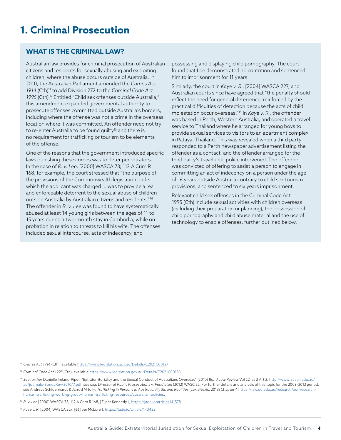## **1. Criminal Prosecution**

### **WHAT IS THE CRIMINAL LAW?**

Australian law provides for criminal prosecution of Australian citizens and residents for sexually abusing and exploiting children, where the abuse occurs outside of Australia. In 2010, the Australian Parliament amended the *Crimes Act 1914* (Cth)11 to add Division 272 to the *Criminal Code Act 1995* (Cth).12 Entitled "Child sex offenses outside Australia," this amendment expanded governmental authority to prosecute offenses committed outside Australia's borders, including where the offense was not a crime in the overseas location where it was committed. An offender need not try to re-enter Australia to be found quilty<sup>13</sup> and there is no requirement for trafficking or tourism to be elements of the offense.

One of the reasons that the government introduced specific laws punishing these crimes was to deter perpetrators. In the case of *R. v. Lee*, [2000] WASCA 73; 112 A Crim R 168, for example, the court stressed that "the purpose of the provisions of the Commonwealth legislation under which the applicant was charged … was to provide a real and enforceable deterrent to the sexual abuse of children outside Australia by Australian citizens and residents."14 The offender in *R. v. Lee* was found to have systematically abused at least 14 young girls between the ages of 11 to 15 years during a two-month stay in Cambodia, while on probation in relation to threats to kill his wife. The offenses included sexual intercourse, acts of indecency, and

possessing and displaying child pornography. The court found that Lee demonstrated no contrition and sentenced him to imprisonment for 11 years.

Similarly, the court in *Kaye v. R.*, [2004] WASCA 227, and Australian courts since have agreed that "the penalty should reflect the need for general deterrence, reinforced by the practical difficulties of detection because the acts of child molestation occur overseas."15 In *Kaye v. R.*, the offender was based in Perth, Western Australia, and operated a travel service to Thailand where he arranged for young boys to provide sexual services to visitors to an apartment complex in Pataya, Thailand. This was revealed when a third party responded to a Perth newspaper advertisement listing the offender as a contact, and the offender arranged for the third party's travel until police intervened. The offender was convicted of offering to assist a person to engage in committing an act of indecency on a person under the age of 16 years outside Australia contrary to child sex tourism provisions, and sentenced to six years imprisonment.

Relevant child sex offenses in the Criminal Code Act 1995 (Cth) include sexual activities with children overseas (including their preparation or planning), the possession of child pornography and child abuse material and the use of technology to enable offenses, further outlined below.

<sup>11</sup> *Crimes Act 1914* (Cth), available https://www.legislation.gov.au/Details/C2021C00127

<sup>12</sup> Criminal Code Act 1995 (Cth), available https://www.legislation.gov.au/Details/C2021C00183.

- <sup>13</sup> See further Danielle Ireland-Piper, "Extraterritoriality and the Sexual Conduct of Australians Overseas" (2010) *Bond Law Review* Vol 22 Iss 2 Art 2, http://www.austlii.edu.au/ au/journals/BondLRev/2010/7.pdf; *see also Director of Public Prosecutions v. Pendleton* (2012) WASC 22. For further details and analysis of this topic for the 2003–2013 period, *see* Andreas Schloenhardt & Jarrod M Jolly, *Trafficking in Persons in Australia: Myths and Realities* (LexisNexis, 2013) Chapter 4 https://law.uq.edu.au/research/our-research/ human-trafficking-working-group/human-trafficking-resources/australian-policies.
- <sup>14</sup> *R. v. Lee* [2000] WASCA 73; 112 A Crim R 168, [2] per Kennedy J, https://jade.io/article/141578.
- <sup>15</sup> *Kaye v. R*. [2004] WASCA 227, [66] per McLure J, https://jade.io/article/143433.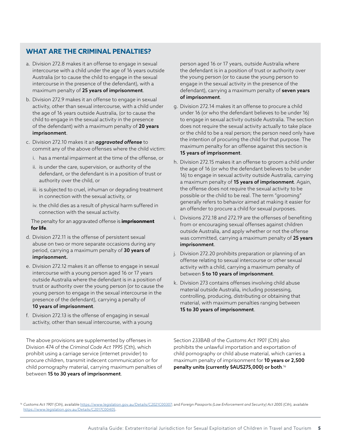### **WHAT ARE THE CRIMINAL PENALTIES?**

- a. Division 272.8 makes it an offense to engage in sexual intercourse with a child under the age of 16 years outside Australia (or to cause the child to engage in the sexual intercourse in the presence of the defendant), with a maximum penalty of 25 years of imprisonment.
- b. Division 272.9 makes it an offense to engage in sexual activity, other than sexual intercourse, with a child under the age of 16 years outside Australia, (or to cause the child to engage in the sexual activity in the presence of the defendant) with a maximum penalty of 20 years imprisonment.
- c. Division 272.10 makes it an *aggravated offense* to commit any of the above offenses where the child victim:
	- i. has a mental impairment at the time of the offense, or
	- ii. is under the care, supervision, or authority of the defendant, or the defendant is in a position of trust or authority over the child, or
	- iii. is subjected to cruel, inhuman or degrading treatment in connection with the sexual activity, or
	- iv. the child dies as a result of physical harm suffered in connection with the sexual activity.

The penalty for an aggravated offense is **imprisonment for life**.

- d. Division 272.11 is the offense of persistent sexual abuse on two or more separate occasions during any period, carrying a maximum penalty of 30 years of imprisonment.
- e. Division 272.12 makes it an offense to engage in sexual intercourse with a young person aged 16 or 17 years outside Australia where the defendant is in a position of trust or authority over the young person (or to cause the young person to engage in the sexual intercourse in the presence of the defendant), carrying a penalty of 10 years of imprisonment.
- f. Division 272.13 is the offense of engaging in sexual activity, other than sexual intercourse, with a young

The above provisions are supplemented by offenses in Division 474 of the *Criminal Code Act 1995* (Cth), which prohibit using a carriage service (internet provider) to procure children, transmit indecent communication or for child pornography material, carrying maximum penalties of between 15 to 30 years of imprisonment.

person aged 16 or 17 years, outside Australia where the defendant is in a position of trust or authority over the young person (or to cause the young person to engage in the sexual activity in the presence of the defendant), carrying a maximum penalty of **seven years** of imprisonment.

- g. Division 272.14 makes it an offense to procure a child under 16 (or who the defendant believes to be under 16) to engage in sexual activity outside Australia. The section does not require the sexual activity actually to take place or the child to be a real person; the person need only have the intention of procuring the child for that purpose. The maximum penalty for an offense against this section is 15 years of imprisonment.
- h. Division 272.15 makes it an offense to groom a child under the age of 16 (or who the defendant believes to be under 16) to engage in sexual activity outside Australia, carrying a maximum penalty of 15 years of imprisonment. Again, the offense does not require the sexual activity to be possible or the child to be real. The term "grooming" generally refers to behavior aimed at making it easier for an offender to procure a child for sexual purposes.
- i. Divisions 272.18 and 272.19 are the offenses of benefiting from or encouraging sexual offenses against children outside Australia, and apply whether or not the offense was committed, carrying a maximum penalty of 25 years imprisonment.
- j. Division 272.20 prohibits preparation or planning of an offense relating to sexual intercourse or other sexual activity with a child, carrying a maximum penalty of between 5 to 10 years of imprisonment.
- k. Division 273 contains offenses involving child abuse material outside Australia, including possessing, controlling, producing, distributing or obtaining that material, with maximum penalties ranging between 15 to 30 years of imprisonment.

Section 233BAB of the *Customs Act 1901* (Cth) also prohibits the unlawful importation and exportation of child pornography or child abuse material, which carries a maximum penalty of imprisonment for 10 years or 2,500 penalty units (currently \$AUS275,000) or both. 16

<sup>16</sup> *Customs Act 1901* (Cth), available https://www.legislation.gov.au/Details/C2021C00307; and *Foreign Passports (Law Enforcement and Security) Act 2005* (Cth), available https://www.legislation.gov.au/Details/C2017C00405.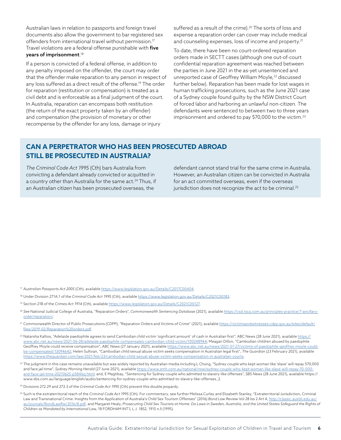Australian laws in relation to passports and foreign travel documents also allow the government to bar registered sex offenders from international travel without permission.17 Travel violations are a federal offense punishable with five years of imprisonment. 18

If a person is convicted of a federal offense, in addition to any penalty imposed on the offender, the court may order that the offender make reparation to any person in respect of any loss suffered as a direct result of the offense.<sup>19</sup> The order for reparation (restitution or compensation) is treated as a civil debt and is enforceable as a final judgment of the court. In Australia, reparation can encompass both restitution (the return of the exact property taken by an offender) and compensation (the provision of monetary or other recompense by the offender for any loss, damage or injury

suffered as a result of the crime).<sup>20</sup> The sorts of loss and expense a reparation order can cover may include medical and counseling expenses, loss of income and property.<sup>21</sup>

To date, there have been no court-ordered reparation orders made in SECTT cases (although one out-of-court confidential reparation agreement was reached between the parties in June 2021 in the as-yet unsentenced and unreported case of Geoffrey William Moyle,<sup>22</sup> discussed further below). Reparation has been made for lost wages in human trafficking prosecutions, such as the June 2021 case of a Sydney couple found guilty by the NSW District Court of forced labor and harboring an unlawful non-citizen. The defendants were sentenced to between two to three years imprisonment and ordered to pay \$70,000 to the victim.<sup>23</sup>

## **CAN A PERPETRATOR WHO HAS BEEN PROSECUTED ABROAD STILL BE PROSECUTED IN AUSTRALIA?**

*The Criminal Code Act 1995* (Cth) bars Australia from convicting a defendant already convicted or acquitted in a country other than Australia for the same act.<sup>24</sup> Thus, if an Australian citizen has been prosecuted overseas, the

defendant cannot stand trial for the same crime in Australia. However, an Australian citizen can be convicted in Australia for an act committed overseas, even if the overseas jurisdiction does not recognize the act to be criminal.<sup>25</sup>

<sup>17</sup> *Australian Passports Act 2005* (Cth), available https://www.legislation.gov.au/Details/C2017C00404.

- <sup>18</sup> Under Division 271A.1 of the *Criminal Code Act 1995* (Cth), available https://www.legislation.gov.au/Details/C2021C00183.
- <sup>19</sup> Section 21B of the *Crimes Act 1914* (Cth), available https://www.legislation.gov.au/Details/C2021C00127.
- <sup>20</sup> *See* National Judicial College of Australia, "Reparation Orders", *Commonwealth Sentencing Database* (2021), available https://csd.njca.com.au/principles-practice/7-ancillaryorder/reparation/.
- 21 Commonwealth Director of Public Prosecutions (CDPP), "Reparation Orders and Victims of Crime" (2021), available https://victimsandwitnesses.cdpp.gov.au/sites/default/ files/2019-02/Reparation%20orders.pdf.
- <sup>22</sup> Natarsha Kallios, "Adelaide paedophile agrees to send Cambodian child victim 'significant amount' of cash in Australian first", ABC News (28 June 2021), available https:// www.abc.net.au/news/2021-06-28/adelaide-paedophile-compensates-cambodian-child-victim/100248944; Meagan Dillon, "Cambodian children abused by paedophile Geoffrey Moyle could receive compensation", *ABC News* (27 January 2021), available https://www.abc.net.au/news/2021-01-27/victims-of-paedophile-geoffrey-moyle-couldbe-compensated/13094642; Helen Sullivan, "Cambodian child sexual abuse victim seeks compensation in Australian legal first", *The Guardian* (23 February 2021), available https://www.theguardian.com/law/2021/feb/23/cambodian-child-sexual-abuse-victim-seeks-compensation-in-australian-courts.
- <sup>23</sup> The judgment in this case remains unavailable but was widely reported by Australian media including L Chung, "Sydney couple who kept woman like 'slave' will repay \$70,000 and face jail time", *Sydney Morning Herald* (27 June 2021), available https://www.smh.com.au/national/nsw/sydney-couple-who-kept-woman-like-slave-will-repay-70-000 and-face-jail-time-20210625-p5846q.html; and, E Magtibay, "Sentencing for Sydney couple who admitted to slavery-like offenses", *SBS News* (28 June 2021), available https:// www.sbs.com.au/language/english/audio/sentencing-for-sydney-couple-who-admitted-to-slavery-like-offenses\_2.

<sup>24</sup> Divisions 272.29 and 273.3 of the *Criminal Code Act 1995* (Cth) prevent this double jeopardy.

<sup>25</sup> Such is the extraterritorial reach of the *Criminal Code Act 1995* (Cth). For commentary, see further Melissa Curley and Elizabeth Stanley, "Extraterritorial Jurisdiction, Criminal Law and Transnational Crime: Insights from the Application of Australia's Child Sex Tourism Offenses" (2016) *Bond Law Review* Vol 28 Iss 2 Art 4, http://classic.austlii.edu.au/ au/journals/BondLawRw/2016/8.pdf, and Margaret Healy, *Prosecuting Child Sex Tourists at Home: Do Laws in Sweden, Australia, and the United States Safeguard the Rights of Children as Mandated by International Law*, 18 FORDHAM INT'L L.J. 1852, 1915 n.ll (1995).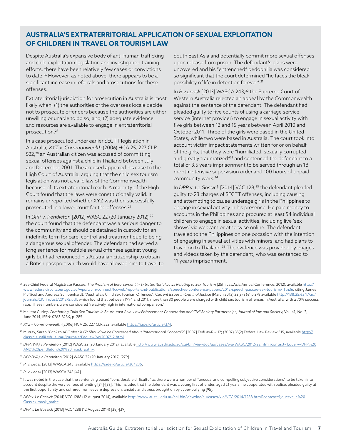## **AUSTRALIA'S EXTRATERRITORIAL APPLICATION OF SEXUAL EXPLOITATION OF CHILDREN IN TRAVEL OR TOURISM LAW**

Despite Australia's expansive body of anti-human trafficking and child exploitation legislation and investigation training efforts, there have been relatively few cases or convictions to date.<sup>26</sup> However, as noted above, there appears to be a significant increase in referrals and prosecutions for these offenses.

Extraterritorial jurisdiction for prosecution in Australia is most likely when: (1) the authorities of the overseas locale decide not to prosecute offenders because the authorities are either unwilling or unable to do so, and; (2) adequate evidence and resources are available to engage in extraterritorial prosecution.27

In a case prosecuted under earlier SECTT legislation in Australia, *XYZ v. Commonwealth* (2006) HCA 25; 227 CLR 532,28 an Australian citizen was accused of committing sexual offenses against a child in Thailand between July and December 2001. The accused appealed his case to the High Court of Australia, arguing that the child sex tourism legislation was not a valid law of the Commonwealth because of its extraterritorial reach. A majority of the High Court found that the laws were constitutionally valid. It remains unreported whether XYZ was then successfully prosecuted in a lower court for the offenses.<sup>29</sup>

In *DPP v. Pendleton* [2012] WASC 22 (20 January 2012),<sup>30</sup> the court found that the defendant was a serious danger to the community and should be detained in custody for an indefinite term for care, control and treatment due to being a dangerous sexual offender. The defendant had served a long sentence for multiple sexual offenses against young girls but had renounced his Australian citizenship to obtain a British passport which would have allowed him to travel to South East Asia and potentially commit more sexual offenses upon release from prison. The defendant's plans were uncovered and his "entrenched" pedophilia was considered so significant that the court determined "he faces the bleak possibility of life in detention forever".31

In *R v Leask* [2013] WASCA 243,32 the Supreme Court of Western Australia rejected an appeal by the Commonwealth against the sentence of the defendant. The defendant had pleaded guilty to five counts of using a carriage service service (internet provider) to engage in sexual activity with five girls between 13 and 15 years between April 2010 and October 2011. Three of the girls were based in the United States, while two were based in Australia. The court took into account victim impact statements written for or on behalf of the girls, that they were "humiliated, sexually corrupted and greatly traumatized"<sup>33</sup> and sentenced the defendant to a total of 3.5 years imprisonment to be served through an 18 month intensive supervision order and 100 hours of unpaid community work.34

In *DPP v. Le Gassick* [2014] VCC 128,<sup>35</sup> the defendant pleaded guilty to 23 charges of SECTT offenses, including causing and attempting to cause underage girls in the Philippines to engage in sexual activity in his presence. He paid money to accounts in the Philippines and procured at least 54 individual children to engage in sexual activities, including live 'sex shows' via webcam or otherwise online. The defendant traveled to the Philippines on one occasion with the intention of engaging in sexual activities with minors, and had plans to travel on to Thailand.<sup>36</sup> The evidence was provided by images and videos taken by the defendant, who was sentenced to 11 years imprisonment.

- <sup>26</sup> *See* Chief Federal Magistrate Pascoe, *The Problem of Enforcement in Extraterritorial Laws Relating to Sex Tourism* (25th LawAsia Annual Conference, 2012), available http:// www.federalcircuitcourt.gov.au/wps/wcm/connect/fccweb/reports-and-publications/speeches-conference-papers/2012/speech-pascoe-sex-tourism#\_ftn36, citing James McNicol and Andreas Schloenhardt, "Australia's Child Sex Tourism Offenses", C*urrent Issues in Criminal Justice* (March 2012) 23(3) 369, p 378 available http://138.25.65.17/au/ journals/CICrimJust/2012/5.pdf, which found that between 1994 and 2011, more than 30 people were charged with child sex tourism offenses in Australia, with a 70% success rate. These numbers were considered "relatively high in international comparison."
- <sup>27</sup> Melissa Curley, *Combating Child Sex Tourism in South-east Asia: Law Enforcement Cooperation and Civil Society Partnerships, Journal of law and Society*, Vol. 41, No. 2, June 2014, ISSN: 0263-323X, p. 285.
- <sup>28</sup> *XYZ v Commonwealth* [2006] HCA 25; 227 CLR 532, available https://jade.io/article/374.
- <sup>29</sup> Murray, Sarah *"Back to ABC after XYZ: Should we be Concerned About 'International Concern'?"* [2007] FedLawRw 12; (2007) 35(2) Federal Law Review 315, available http:// classic.austlii.edu.au/au/journals/FedLawRw/2007/12.html.
- <sup>30</sup> *DPP (WA) v Pendelton* [2012] WASC 22 (20 January 2012), available http://www.austlii.edu.au/cgi-bin/viewdoc/au/cases/wa/WASC/2012/22.html?context=1;query=DPP%20 AND%20pendleton%20%20;mask\_path=.
- <sup>31</sup> *DPP (WA) v. Pendelton* [2012] WASC 22 (20 January 2012) [279].
- <sup>32</sup> *R. v. Leask* [2013] WASCA 243, available https://jade.io/article/304236.
- <sup>33</sup> *R. v. Leask* [2013] WASCA 243 [47].
- <sup>34</sup> It was noted in the case that the sentencing posed "considerable difficulty" as there were a number of "unusual and compelling subjective considerations" to be taken into account despite the very serious offending [94]-[95]. This included that the defendant was a young first offender, aged 21 years, he cooperated with police, pleaded guilty at the first opportunity and suffered from severe depression, anxiety and stress brought on by cyber-bullying [95].
- <sup>35</sup> *DPP v. Le Gassick* [2014] VCC 1288 (12 August 2014), available http://www.austlii.edu.au/cgi-bin/viewdoc/au/cases/vic/VCC/2014/1288.html?context=1;query=Le%20 Gassick;mask\_path=.
- <sup>36</sup> *DPP v. Le Gassick* [2013] VCC 1288 (12 August 2014) [38]-[39].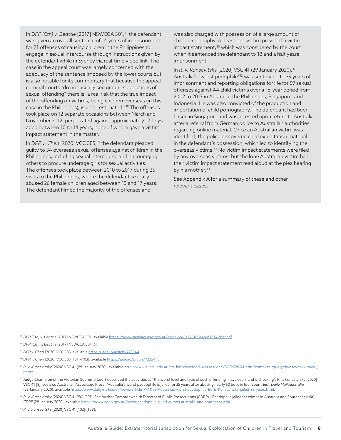In *DPP (Cth) v. Beattie* [2017] NSWCCA 301,37 the defendant was given an overall sentence of 14 years of imprisonment for 21 offenses of causing children in the Philippines to engage in sexual intercourse through instructions given by the defendant while in Sydney via real-time video link. The case in the appeal court was largely concerned with the adequacy of the sentence imposed by the lower courts but is also notable for its commentary that because the appeal criminal courts "do not usually see graphics depictions of sexual offending" there is "a real risk that the true impact of the offending on victims, being children overseas (in this case in the Philippines), is underestimated."38 The offenses took place on 12 separate occasions between March and November 2012, perpetrated against approximately 17 boys aged between 10 to 14 years, none of whom gave a victim impact statement in the matter.

In *DPP v. Chen* [2020] VCC 385,<sup>39</sup> the defendant pleaded guilty to 34 overseas sexual offenses against children in the Philippines, including sexual intercourse and encouraging others to procure underage girls for sexual activities. The offenses took place between 2010 to 2017 during 25 visits to the Philippines, where the defendant sexually abused 26 female children aged between 13 and 17 years. The defendant filmed the majority of the offenses and

was also charged with possession of a large amount of child pornography. At least one victim provided a victim impact statement,<sup>40</sup> which was considered by the court when it sentenced the defendant to 18 and a half years imprisonment.

In *R. v. Kunsevitsky* [2020] VSC 41 (29 January 2020), <sup>41</sup> Australia's "worst pedophile"42 was sentenced to 35 years of imprisonment and reporting obligations for life for 59 sexual offenses against 44 child victims over a 16-year period from 2002 to 2017 in Australia, the Philippines, Singapore, and Indonesia. He was also convicted of the production and importation of child pornography. The defendant had been based in Singapore and was arrested upon return to Australia after a referral from German police to Australian authorities regarding online material. Once an Australian victim was identified, the police discovered child exploitation material in the defendant's possession, which led to identifying the overseas victims.43 No victim impact statements were filed by any overseas victims, but the lone Australian victim had their victim impact statement read aloud at the plea hearing by his mother.<sup>44</sup>

*See* Appendix A for a summary of these and other relevant cases.

<sup>37</sup> *DPP (Cth) v. Beattie* [2017] NSWCCA 301, available https://www.caselaw.nsw.gov.au/decision/5a275165e4b058596cbacbdf.

<sup>38</sup> *DPP (Cth) v. Beattie* [2017] NSWCCA 301 [6].

<sup>39</sup> *DPP v. Chen* [2020] VCC 385, available https://jade.io/article/725544.

<sup>40</sup> *DPP v. Chen* [2020] VCC 385 [101]-[103], available https://jade.io/article/725544.

- <sup>41</sup> *R. v. Kunsevitsky* [2020] VSC 41 (29 January 2020), available http://www.austlii.edu.au/cgi-bin/viewdoc/au/cases/vic/VSC/2020/41.html?context=1;query=kunsevitsky;mask\_ path=.
- <sup>42</sup> Judge Champion of the Victorian Supreme Court described the activities as "the worst level and type of such offending I have seen, and is shocking", *R. v. Kunsevitsky* [2020] VSC 41 [8]; see also Australian Associated Press, "Australia's worst paedophile is jailed for 35 years after abusing nearly 50 boys in four countries", *Daily Mail Australia* (29 January 2020), available https://www.dailymail.co.uk/news/article-7941173/Australias-worst-paedophile-Boris-Kunsevitsky-jailed-35-years.html.
- <sup>43</sup> *R. v. Kunsevitsky* [2020] VSC 41 [96]-[101]. See further Commonwealth Director of Public Prosecutions (CDPP), "Paedophile jailed for crimes in Australia and Southeast Asia", *CDPP* (29 January 2020), available https://www.cdpp.gov.au/news/paedophile-jailed-crimes-australia-and-southeast-asia.

<sup>44</sup> *R. v. Kunsevitsky* [2020] VSC 41 [102]-[109].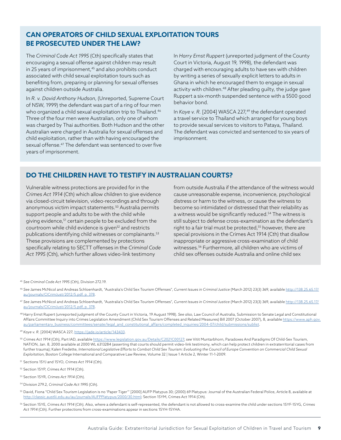### **CAN OPERATORS OF CHILD SEXUAL EXPLOITATION TOURS BE PROSECUTED UNDER THE LAW?**

The *Criminal Code Act 1995* (Cth) specifically states that encouraging a sexual offense against children may result in 25 years of imprisonment,<sup>45</sup> and also prohibits conduct associated with child sexual exploitation tours such as benefiting from, preparing or planning for sexual offenses against children outside Australia.

In *R. v. David Anthony Hudson*, (Unreported, Supreme Court of NSW, 1999) the defendant was part of a ring of four men who organized a child sexual exploitation trip to Thailand.<sup>46</sup> Three of the four men were Australian, only one of whom was charged by Thai authorities. Both Hudson and the other Australian were charged in Australia for sexual offenses and child exploitation, rather than with having encouraged the sexual offense.<sup>47</sup> The defendant was sentenced to over five years of imprisonment.

In *Harry Ernst Ruppert* (unreported judgment of the County Court in Victoria, August 19, 1998), the defendant was charged with encouraging adults to have sex with children by writing a series of sexually explicit letters to adults in Ghana in which he encouraged them to engage in sexual activity with children.<sup>48</sup> After pleading guilty, the judge gave Ruppert a six-month suspended sentence with a \$500 good behavior bond.

In *Kaye v. R.* [2004] WASCA 227,<sup>49</sup> the defendant operated a travel service to Thailand which arranged for young boys to provide sexual services to visitors to Pataya, Thailand. The defendant was convicted and sentenced to six years of imprisonment.

### **DO THE CHILDREN HAVE TO TESTIFY IN AUSTRALIAN COURTS?**

Vulnerable witness protections are provided for in the *Crimes Act 1914* (Cth) which allow children to give evidence via closed-circuit television, video-recordings and through anonymous victim impact statements.<sup>50</sup> Australia permits support people and adults to be with the child while giving evidence,<sup>51</sup> certain people to be excluded from the courtroom while child evidence is given<sup>52</sup> and restricts publications identifying child witnesses or complainants.<sup>53</sup> These provisions are complemented by protections specifically relating to SECTT offenses in the *Criminal Code Act 1995* (Cth), which further allows video-link testimony

from outside Australia if the attendance of the witness would cause unreasonable expense, inconvenience, psychological distress or harm to the witness, or cause the witness to become so intimidated or distressed that their reliability as a witness would be significantly reduced.<sup>54</sup> The witness is still subject to defense cross-examination as the defendant's right to a fair trial must be protected,<sup>55</sup> however, there are special provisions in the Crimes Act 1914 (Cth) that disallow inappropriate or aggressive cross-examination of child witnesses.56 Furthermore, all children who are victims of child sex offenses outside Australia and online child sex

<sup>45</sup> *See Criminal Code Act 1995* (Cth), Division 272.19.

- <sup>46</sup> *See* James McNicol and Andreas Schloenhardt, "Australia's Child Sex Tourism Offenses", *Current Issues in Criminal Justice* (March 2012) 23(3) 369, available http://138.25.65.17/ au/journals/CICrimJust/2012/5.pdf, p. 378.
- <sup>47</sup> *See* James McNicol and Andreas Schloenhardt, "Australia's Child Sex Tourism Offenses", *Current Issues in Criminal Justice* (March 2012) 23(3) 369, available http://138.25.65.17/ au/journals/CICrimJust/2012/5.pdf, p. 378.
- <sup>48</sup> Harry Ernst Rupert (unreported judgment of the County Court in Victoria, 19 August 1998). *See also*, Law Council of Australia, Submission to Senate Legal and Constitutional Affairs Committee Inquiry into Crimes Legislation Amendment (Child Sex Tourism Offenses and Related Measures) Bill 2007 (October 2007), 8, available https://www.aph.gov. au/parliamentary\_business/committees/senate/legal\_and\_constitutional\_affairs/completed\_inquiries/2004-07/child/submissions/sublist.

<sup>49</sup> *Kaye v. R.* [2004] WASCA 227, https://jade.io/article/143433.

- <sup>50</sup> *Crimes Act 1914* (Cth), Part IAD, available https://www.legislation.gov.au/Details/C2021C00127; *see* Vitit Muntarbhorn, Paradoxes And Paradigms Of Child-Sex Tourism, NATION, Jan. 8, 2000 available at 2000 WL 6313284 (asserting that courts should permit video-link testimony, which can help protect children in extraterritorial cases from further trauma); Kalen Fredette, *International Legislative Efforts to Combat Child Sex Tourism: Evaluating the Council of Europe Convention on Commercial Child Sexual Exploitation*, Boston College International and Comparative Law Review, Volume 32 | Issue 1 Article 2, Winter 11-1-2009.
- <sup>51</sup> Sections 15YJ and 15YO, *Crimes Act 1914* (Cth).
- <sup>52</sup> Section 15YP, *Crimes Act 1914* (Cth).
- <sup>53</sup> Section 15YR, *Crimes Act 1914* (Cth).
- <sup>54</sup> Division 279.2, *Criminal Code Act 1995* (Cth).
- 55 David, Fiona "Child Sex Tourism Legislation is no 'Paper Tiger'" [2000] AUFP Platypus 30; (2000) 69 Platypus: Journal of the Australian Federal Police, Article 8, available at http://classic.austlii.edu.au/au/journals/AUFPPlatypus/2000/30.html; Section 15YM, Crimes Act 1914 (Cth).
- <sup>56</sup> Section 15YE, *Crimes Act 1914* (Cth). Also, where a defendant is self-represented, the defendant is not allowed to cross-examine the child under sections 15YF-15YG, *Crimes Act 1914* (Cth). Further protections from cross-examinations appear in sections 15YH-15YHA.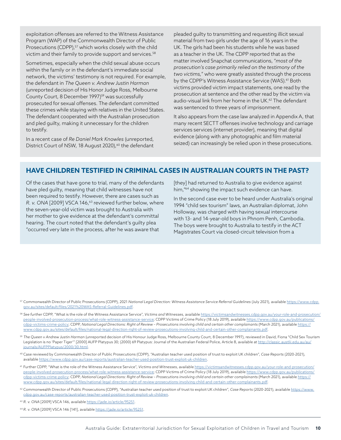exploitation offenses are referred to the Witness Assistance Program (WAP) of the Commonwealth Director of Public Prosecutions (CDPP),<sup>57</sup> which works closely with the child victim and their family to provide support and services.<sup>58</sup>

Sometimes, especially when the child sexual abuse occurs within the family or in the defendant's immediate social network, the victims' testimony is not required. For example, the defendant in *The Queen v. Andrew Justin Harman* (unreported decision of His Honor Judge Ross, Melbourne County Court, 8 December 1997)<sup>59</sup> was successfully prosecuted for sexual offenses. The defendant committed these crimes while staying with relatives in the United States. The defendant cooperated with the Australian prosecution and pled guilty, making it unnecessary for the children to testify.

In a recent case of *Re Daniel Mark Knowles* (unreported, District Court of NSW, 18 August 2020),<sup>60</sup> the defendant

pleaded guilty to transmitting and requesting illicit sexual material from two girls under the age of 16 years in the UK. The girls had been his students while he was based as a teacher in the UK. The CDPP reported that as the matter involved Snapchat communications, "*most of the prosecution's case primarily relied on the testimony of the two victims,*" who were greatly assisted through the process by the CDPP's Witness Assistance Service (WAS).<sup>61</sup> Both victims provided victim impact statements, one read by the prosecution at sentence and the other read by the victim via audio-visual link from her home in the UK.<sup>62</sup> The defendant was sentenced to three years of imprisonment.

It also appears from the case law analyzed in Appendix A, that many recent SECTT offenses involve technology and carriage services services (internet provider), meaning that digital evidence (along with any photographic and film material seized) can increasingly be relied upon in these prosecutions.

### **HAVE CHILDREN TESTIFIED IN CRIMINAL CASES IN AUSTRALIAN COURTS IN THE PAST?**

Of the cases that have gone to trial, many of the defendants have pled guilty, meaning that child witnesses have not been required to testify. However, there are cases such as *R. v. ONA* [2009] VSCA 146,<sup>63</sup> reviewed further below, where the seven-year-old victim was brought to Australia with her mother to give evidence at the defendant's committal hearing. The court noted that the defendant's guilty plea "occurred very late in the process, after he was aware that

[they] had returned to Australia to give evidence against him,"<sup>64</sup> showing the impact such evidence can have.

In the second case ever to be heard under Australia's original 1994 "child sex tourism" laws, an Australian diplomat, John Holloway, was charged with having sexual intercourse with 13- and 14-year-old boys in Phnom Penh, Cambodia. The boys were brought to Australia to testify in the ACT Magistrates Court via closed-circuit television from a

<sup>57</sup> Commonwealth Director of Public Prosecutions (CDPP), 2021 *National Legal Direction: Witness Assistance Service Referral Guidelines* (July 2021), available https://www.cdpp. gov.au/sites/default/files/2021%20WAS-Referral-Guidelines.pdf.

- <sup>58</sup> *See further* CDPP, "What is the role of the Witness Assistance Service", *Victims and Witnesses*, available https://victimsandwitnesses.cdpp.gov.au/your-role-and-prosecution/ people-involved-prosecution-process/what-role-witness-assistance-service; CDPP Victims of Crime Policy (18 July 2019), available https://www.cdpp.gov.au/publications/ cdpp-victims-crime-policy; CDPP, *National Legal Directions: Right of Review – Prosecutions involving child and certain other complainants* (March 2021), available https:// www.cdpp.gov.au/sites/default/files/national-legal-direction-right-of-review-prosecutions-involving-child-and-certain-other-complainants.pdf.
- <sup>59</sup> *The Queen v Andrew Justin Harman* (unreported decision of His Honour Judge Ross, Melbourne County Court, 8 December 1997), reviewed in David, Fiona "Child Sex Tourism Legislation is no 'Paper Tiger'" [2000] AUFP Platypus 30; (2000) 69 Platypus: Journal of the Australian Federal Police, Article 8, available at http://classic.austlii.edu.au/au/ journals/AUFPPlatypus/2000/30.html.
- <sup>60</sup> Case reviewed by Commonwealth Director of Public Prosecutions (CDPP), "Australian teacher used position of trust to exploit UK children", *Case Reports* (2020-2021), available https://www.cdpp.gov.au/case-reports/australian-teacher-used-position-trust-exploit-uk-children.
- <sup>61</sup> Further CDPP, "What is the role of the Witness Assistance Service", *Victims and Witnesses*, available https://victimsandwitnesses.cdpp.gov.au/your-role-and-prosecution/ people-involved-prosecution-process/what-role-witness-assistance-service; CDPP Victims of Crime Policy (18 July 2019), available https://www.cdpp.gov.au/publications/ cdpp-victims-crime-policy; CDPP, National Legal Directions: Right of Review - Prosecutions involving child and certain other complainants (March 2021), available https:// www.cdpp.gov.au/sites/default/files/national-legal-direction-right-of-review-prosecutions-involving-child-and-certain-other-complainants.pdf.
- <sup>62</sup> Commonwealth Director of Public Prosecutions (CDPP), "Australian teacher used position of trust to exploit UK children", *Case Reports* (2020-2021), available https://www. cdpp.gov.au/case-reports/australian-teacher-used-position-trust-exploit-uk-children.
- <sup>63</sup> *R. v. ONA* [2009] VSCA 146, available https://jade.io/article/95251.
- <sup>64</sup> *R. v. ONA* [2009] VSCA 146 [141], available https://jade.io/article/95251.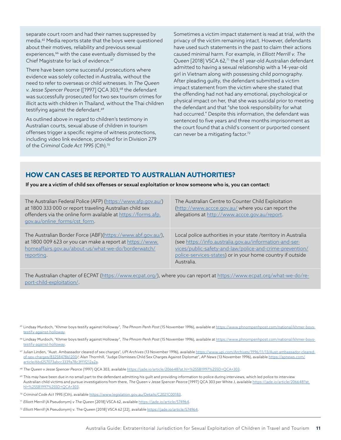separate court room and had their names suppressed by media.65 Media reports state that the boys were questioned about their motives, reliability and previous sexual experiences,<sup>66</sup> with the case eventually dismissed by the Chief Magistrate for lack of evidence.<sup>67</sup>

There have been some successful prosecutions where evidence was solely collected in Australia, without the need to refer to overseas or child witnesses. In *The Queen v. Jesse Spencer Pearce* ([1997] QCA 303,<sup>68</sup> the defendant was successfully prosecuted for two sex tourism crimes for illicit acts with children in Thailand, without the Thai children testifying against the defendant.<sup>69</sup>

As outlined above in regard to children's testimony in Australian courts, sexual abuse of children in tourism offenses trigger a specific regime of witness protections, including video link evidence, provided for in Division 279 of the *Criminal Code Act 1995* (Cth).70

Sometimes a victim impact statement is read at trial, with the privacy of the victim remaining intact. However, defendants have used such statements in the past to claim their actions caused minimal harm. For example, in *Elliott Merrill v. The*  Queen [2018] VSCA 62,<sup>71</sup> the 61 year-old Australian defendant admitted to having a sexual relationship with a 14-year-old girl in Vietnam along with possessing child pornography. After pleading guilty, the defendant submitted a victim impact statement from the victim where she stated that the offending had not had any emotional, psychological or physical impact on her, that she was suicidal prior to meeting the defendant and that "she took responsibility for what had occurred." Despite this information, the defendant was sentenced to five years and three months imprisonment as the court found that a child's consent or purported consent can never be a mitigating factor.<sup>72</sup>

### **HOW CAN CASES BE REPORTED TO AUSTRALIAN AUTHORITIES?**

If you are a victim of child sex offenses or sexual exploitation or know someone who is, you can contact:

| The Australian Federal Police (AFP) (https://www.afp.gov.au/)<br>at 1800 333 000 or report traveling Australian child sex<br>offenders via the online form available at https://forms.afp.<br>gov.au/online forms/cst form. | The Australian Centre to Counter Child Exploitation<br>(http://www.accce.gov.au/ where you can report the<br>allegations at http://www.accce.gov.au/report. |
|-----------------------------------------------------------------------------------------------------------------------------------------------------------------------------------------------------------------------------|-------------------------------------------------------------------------------------------------------------------------------------------------------------|
| The Australian Border Force (ABF)(https://www.abf.gov.au/),                                                                                                                                                                 | Local police authorities in your state /territory in Australia                                                                                              |
| at 1800 009 623 or you can make a report at https://www.                                                                                                                                                                    | (see https://info.australia.gov.au/information-and-ser-                                                                                                     |
| homeaffairs.gov.au/about-us/what-we-do/borderwatch/                                                                                                                                                                         | vices/public-safety-and-law/police-and-crime-prevention/                                                                                                    |
| reporting.                                                                                                                                                                                                                  | police-services-states) or in your home country if outside                                                                                                  |

The Australian chapter of ECPAT (https://www.ecpat.org/), where you can report at https://www.ecpat.org/what-we-do/report-child-exploitation/.

Australia.

- <sup>65</sup> Lindsay Murdoch, "Khmer boys testify against Holloway", *The Phnom Penh Post* (15 November 1996), available at https://www.phnompenhpost.com/national/khmer-boystestify-against-holloway.
- <sup>66</sup> Lindsay Murdoch, "Khmer boys testify against Holloway", *The Phnom Penh Post* (15 November 1996), available at https://www.phnompenhpost.com/national/khmer-boystestify-against-holloway.
- <sup>67</sup> Julian Linden, "Aust. Ambassador cleared of sex charges", *UPI Archives* (13 November 1996), available https://www.upi.com/Archives/1996/11/13/Aust-ambassador-clearedof-sex-charges/8325847861200/; Alan Thornhill, "Judge Dismisses Child Sex Charges Against Diplomat", *AP News* (13 November 1996), available https://apnews.com/ article/6bd257073abcc3339a78c3ff1f212a2a.
- <sup>68</sup> *The Queen v Jesse Spencer Pearce* (1997) QCA 303, available https://jade.io/article/206648?at.hl=%255B1997%255D+QCA+303.
- <sup>69</sup> This may have been due in no small part to the defendant admitting his quilt and providing information to police during interviews, which led police to interview Australian child victims and pursue investigations from there, *The Queen v Jesse Spencer Pearce* [1997] QCA 303 per White J, available https://jade.io/article/206648?at. hl=%255B1997%255D+QCA+303.
- <sup>70</sup> *Criminal Code Act 1995* (Cth), available https://www.legislation.gov.au/Details/C2021C00183.
- <sup>71</sup> *Elliott Merrill* (A Pseudonym) *v The Queen* [2018] VSCA 62, available https://jade.io/article/574964.
- <sup>72</sup> *Elliott Merrill* (A Pseudonym) v. The Queen [2018] VSCA 62 [22], available https://jade.io/article/574964.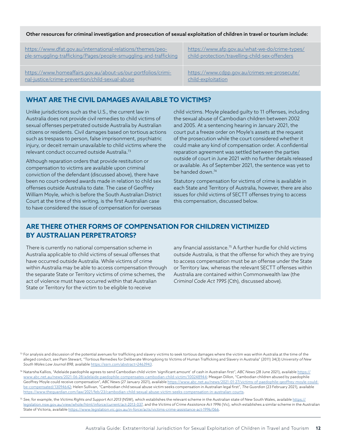#### Other resources for criminal investigation and prosecution of sexual exploitation of children in travel or tourism include:

| https://www.dfat.gov.au/international-relations/themes/peo-      | https://www.afp.gov.au/what-we-do/crime-types/  |
|------------------------------------------------------------------|-------------------------------------------------|
| ple-smuggling-trafficking/Pages/people-smuggling-and-trafficking | child-protection/travelling-child-sex-offenders |
| https://www.homeaffairs.gov.au/about-us/our-portfolios/crimi-    | https://www.cdpp.gov.au/crimes-we-prosecute/    |
| nal-justice/crime-prevention/child-sexual-abuse                  | child-exploitation                              |

### **WHAT ARE THE CIVIL DAMAGES AVAILABLE TO VICTIMS?**

Unlike jurisdictions such as the U.S., the current law in Australia does not provide civil remedies to child victims of sexual offenses perpetrated outside Australia by Australian citizens or residents. Civil damages based on tortious actions such as trespass to person, false imprisonment, psychiatric injury, or deceit remain unavailable to child victims where the relevant conduct occurred outside Australia.73

Although reparation orders that provide restitution or compensation to victims are available upon criminal conviction of the defendant (discussed above), there have been no court-ordered awards made in relation to child sex offenses outside Australia to date. The case of Geoffrey William Moyle, which is before the South Australian District Court at the time of this writing, is the first Australian case to have considered the issue of compensation for overseas child victims. Moyle pleaded guilty to 11 offenses, including the sexual abuse of Cambodian children between 2002 and 2005. At a sentencing hearing in January 2021, the court put a freeze order on Moyle's assets at the request of the prosecution while the court considered whether it could make any kind of compensation order. A confidential reparation agreement was settled between the parties outside of court in June 2021 with no further details released or available. As of September 2021, the sentence was yet to be handed down.74

Statutory compensation for victims of crime is available in each State and Territory of Australia, however, there are also issues for child victims of SECTT offenses trying to access this compensation, discussed below.

## **ARE THERE OTHER FORMS OF COMPENSATION FOR CHILDREN VICTIMIZED BY AUSTRALIAN PERPETRATORS?**

There is currently no national compensation scheme in Australia applicable to child victims of sexual offenses that have occurred outside Australia. While victims of crime within Australia may be able to access compensation through the separate State or Territory victims of crime schemes, the act of violence must have occurred within that Australian State or Territory for the victim to be eligible to receive

any financial assistance.<sup>75</sup> A further hurdle for child victims outside Australia, is that the offense for which they are trying to access compensation must be an offense under the State or Territory law, whereas the relevant SECTT offenses within Australia are contained within Commonwealth law (the *Criminal Code Act 1995* (Cth), discussed above).

73 For analysis and discussion of the potential avenues for trafficking and slavery victims to seek tortious damages where the victim was within Australia at the time of the alleged conduct, *see* Pam Stewart, "Tortious Remedies for Deliberate Wrongdoing to Victims of Human Trafficking and Slavery in Australia" (2011) 34(3) *University of New South Wales Law Journal 898*, available https://ssrn.com/abstract=2463943.

<sup>74</sup> Natarsha Kallios, "Adelaide paedophile agrees to send Cambodian child victim 'significant amount' of cash in Australian first", *ABC News* (28 June 2021), available https:// www.abc.net.au/news/2021-06-28/adelaide-paedophile-compensates-cambodian-child-victim/100248944; Meagan Dillon, "Cambodian children abused by paedophile Geoffrey Moyle could receive compensation", *ABC New*s (27 January 2021), available https://www.abc.net.au/news/2021-01-27/victims-of-paedophile-geoffrey-moyle-couldbe-compensated/13094642; Helen Sullivan, "Cambodian child sexual abuse victim seeks compensation in Australian legal first", *The Guardian* (23 February 2021), available https://www.theguardian.com/law/2021/feb/23/cambodian-child-sexual-abuse-victim-seeks-compensation-in-australian-courts.

<sup>75</sup> *See*, for example, the *Victims Rights and Support Act 2013* (NSW), which establishes the relevant scheme in the Australian state of New South Wales, available https:// legislation.nsw.gov.au/view/whole/html/inforce/current/act-2013-037, and the *Victims of Crime Assistance Act 1996* (Vic), which establishes a similar scheme in the Australian State of Victoria, available https://www.legislation.vic.gov.au/in-force/acts/victims-crime-assistance-act-1996/066.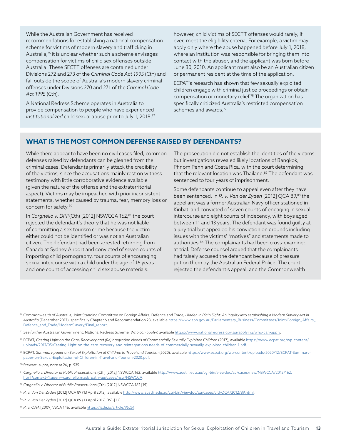While the Australian Government has received recommendations for establishing a national compensation scheme for victims of modern slavery and trafficking in Australia,<sup>76</sup> it is unclear whether such a scheme envisages compensation for victims of child sex offenses outside Australia. These SECTT offenses are contained under Divisions 272 and 273 of the *Criminal Code Act 1995* (Cth) and fall outside the scope of Australia's modern slavery criminal offenses under Divisions 270 and 271 of the *Criminal Code Act 1995* (Cth).

A National Redress Scheme operates in Australia to provide compensation to people who have experienced *institutionalized* child sexual abuse prior to July 1, 2018,<sup>77</sup>

however, child victims of SECTT offenses would rarely, if ever, meet the eligibility criteria. For example, a victim may apply only where the abuse happened before July 1, 2018, where an institution was responsible for bringing them into contact with the abuser, and the applicant was born before June 30, 2010. An applicant must also be an Australian citizen or permanent resident at the time of the application.

ECPAT's research has shown that few sexually exploited children engage with criminal justice proceedings or obtain compensation or monetary relief.78 The organization has specifically criticized Australia's restricted compensation schemes and awards.<sup>79</sup>

### **WHAT IS THE MOST COMMON DEFENSE RAISED BY DEFENDANTS?**

While there appear to have been no civil cases filed, common defenses raised by defendants can be gleaned from the criminal cases. Defendants primarily attack the credibility of the victims, since the accusations mainly rest on witness testimony with little corroborative evidence available (given the nature of the offense and the extraterritorial aspect). Victims may be impeached with prior inconsistent statements, whether caused by trauma, fear, memory loss or concern for safety.80

In *Cargnello v. DPP*(Cth) [2012] NSWCCA 162,<sup>81</sup> the court rejected the defendant's theory that he was not liable of committing a sex tourism crime because the victim either could not be identified or was not an Australian citizen. The defendant had been arrested returning from Canada at Sydney Airport and convicted of seven counts of importing child pornography, four counts of encouraging sexual intercourse with a child under the age of 16 years and one count of accessing child sex abuse materials.

The prosecution did not establish the identities of the victims but investigations revealed likely locations of Bangkok, Phnom Penh and Costa Rica, with the court determining that the relevant location was Thailand.<sup>82</sup> The defendant was sentenced to four years of imprisonment.

Some defendants continue to appeal even after they have been sentenced. In *R. v. Van der Zyden* [2012] QCA 89,<sup>83</sup> the appellant was a former Australian Navy officer stationed in Kiribati and convicted of seven counts of engaging in sexual intercourse and eight counts of indecency, with boys aged between 11 and 13 years. The defendant was found guilty at a jury trial but appealed his conviction on grounds including issues with the victims' "motives" and statements made to authorities.84 The complainants had been cross-examined at trial. Defense counsel argued that the complainants had falsely accused the defendant because of pressure put on them by the Australian Federal Police. The court rejected the defendant's appeal, and the Commonwealth

<sup>76</sup> Commonwealth of Australia, Joint Standing Committee on Foreign Affairs, Defence and Trade, *Hidden in Plain Sight: An inquiry into establishing a Modern Slavery Act in Australia* (December 2017), specifically Chapter 6 and Recommendation 23, available https://www.aph.gov.au/Parliamentary\_Business/Committees/Joint/Foreign\_Affairs\_ Defence\_and\_Trade/ModernSlavery/Final\_report.

<sup>77</sup> *See further* Australian Government, National Redress Scheme, *Who can apply?*, available https://www.nationalredress.gov.au/applying/who-can-apply.

<sup>78</sup> ECPAT, Casting Light on the Care, Recovery and (Re)integration Needs of Commercially Sexually Exploited Children (2017), available https://www.ecpat.org/wp-content/ uploads/2017/05/Casting-Light-on-the-care-recovery-and-reintegrations-needs-of-commercially-sexually-exploited-children-1.pdf.

<sup>79</sup> ECPAT, *Summary paper on Sexual Exploitation of Children in Travel and Tourism* (2020), available https://www.ecpat.org/wp-content/uploads/2020/12/ECPAT-Summarypaper-on-Sexual-Exploitation-of-Children-in-Travel-and-Tourism-2020.pdf.

<sup>80</sup> Stewart, *supra*, note at 26, p. 935.

<sup>81</sup> *Cargnello v. Director of Public Prosecutions* (Cth) [2012] NSWCCA 162, available http://www.austlii.edu.au/cgi-bin/viewdoc/au/cases/nsw/NSWCCA/2012/162. html?context=1;query=cargnello;mask\_path=au/cases/nsw/NSWCCA.

<sup>82</sup> *Cargnello v. Director of Public Prosectuions* (Cth) [2012] NSWCCA 162 [19].

<sup>83</sup> *R. v. Van Der Zyden* [2012] QCA 89 (13 April 2012), available http://www.austlii.edu.au/cgi-bin/viewdoc/au/cases/qld/QCA/2012/89.html.

<sup>84</sup> *R. v. Van Der Zyden* [2012] QCA 89 (13 April 2012) [19]-[22].

<sup>85</sup> R. v. ONA [2009] VSCA 146, available https://jade.io/article/95251.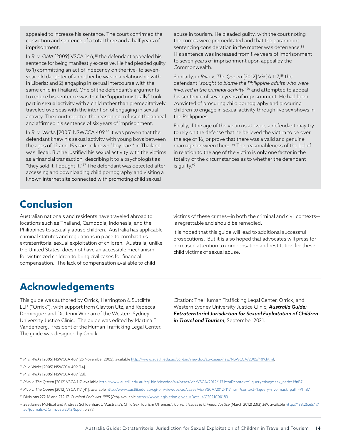appealed to increase his sentence. The court confirmed the conviction and sentence of a total three and a half years of imprisonment.

In *R. v. ONA* [2009] VSCA 146,<sup>85</sup> the defendant appealed his sentence for being manifestly excessive. He had pleaded guilty to 1) committing an act of indecency on the five- to sevenyear-old daughter of a mother he was in a relationship with in Liberia; and 2) engaging in sexual intercourse with the same child in Thailand. One of the defendant's arguments to reduce his sentence was that he "opportunistically" took part in sexual activity with a child rather than premeditatively traveled overseas with the intention of engaging in sexual activity. The court rejected the reasoning, refused the appeal and affirmed his sentence of six years of imprisonment.

In *R. v. Wicks* [2005] NSWCCA 409,<sup>86</sup> it was proven that the defendant knew his sexual activity with young boys between the ages of 12 and 15 years in known "boy bars" in Thailand was illegal. But he justified his sexual activity with the victims as a financial transaction, describing it to a psychologist as "they sold it, I bought it."87 The defendant was detected after accessing and downloading child pornography and visiting a known internet site connected with promoting child sexual

abuse in tourism. He pleaded guilty, with the court noting the crimes were premeditated and that the paramount sentencing consideration in the matter was deterrence.<sup>88</sup> His sentence was increased from five years of imprisonment to seven years of imprisonment upon appeal by the Commonwealth.

Similarly, in *Rivo v. The Queen* [2012] VSCA 117,<sup>89</sup> the defendant "*sought to blame the Philippine adults who were involved in the criminal activity*"90 and attempted to appeal his sentence of seven years of imprisonment. He had been convicted of procuring child pornography and procuring children to engage in sexual activity through live sex shows in the Philippines.

Finally, if the age of the victim is at issue, a defendant may try to rely on the defense that he believed the victim to be over the age of 16, or prove that there was a valid and genuine marriage between them. <sup>91</sup> The reasonableness of the belief in relation to the age of the victim is only one factor in the totality of the circumstances as to whether the defendant is quilty.92

## **Conclusion**

Australian nationals and residents have traveled abroad to locations such as Thailand, Cambodia, Indonesia, and the Philippines to sexually abuse children. Australia has applicable criminal statutes and regulations in place to combat this extraterritorial sexual exploitation of children. Australia, unlike the United States, does not have an accessible mechanism for victimized children to bring civil cases for financial compensation. The lack of compensation available to child

victims of these crimes—in both the criminal and civil contexts is regrettable and should be remedied.

It is hoped that this guide will lead to additional successful prosecutions. But it is also hoped that advocates will press for increased attention to compensation and restitution for these child victims of sexual abuse.

## **Acknowledgements**

This guide was authored by Orrick, Herrington & Sutcliffe LLP ("Orrick"), with support from Clayton Utz, and Rebecca Dominguez and Dr. Jenni Whelan of the Western Sydney University Justice Clinic. The guide was edited by Martina E. Vandenberg, President of the Human Trafficking Legal Center. The guide was designed by Orrick.

Citation: The Human Trafficking Legal Center, Orrick, and Western Sydney University Justice Clinic, *Australia Guide: Extraterritorial Jurisdiction for Sexual Exploitation of Children in Travel and Tourism*, September 2021.

<sup>86</sup> *R. v. Wicks* [2005] NSWCCA 409 (25 November 2005), available http://www.austlii.edu.au/cgi-bin/viewdoc/au/cases/nsw/NSWCCA/2005/409.html.

- <sup>87</sup> *R. v. Wicks* [2005] NSWCCA 409 [14].
- <sup>88</sup> *R. v. Wicks* [2005] NSWCCA 409 [28].
- <sup>89</sup> *Rivo v. The Queen* [2012] VSCA 117, available http://www.austlii.edu.au/cgi-bin/viewdoc/au/cases/vic/VSCA/2012/117.html?context=1;query=rivo;mask\_path=#fnB7.
- <sup>90</sup> *Rivo v. The Queen* [2012] VSCA 117 [41], available http://www.austlii.edu.au/cgi-bin/viewdoc/au/cases/vic/VSCA/2012/117.html?context=1;query=rivo;mask\_path=#fnB7.
- <sup>91</sup> Divisions 272.16 and 272.17, *Criminal Code Act 1995* (Cth), available https://www.legislation.gov.au/Details/C2021C00183.
- <sup>92</sup> *See* James McNicol and Andreas Schloenhardt, "Australia's Child Sex Tourism Offenses", *Current Issues in Criminal Justice* (March 2012) 23(3) 369, available http://138.25.65.17/ au/journals/CICrimJust/2012/5.pdf, p 377.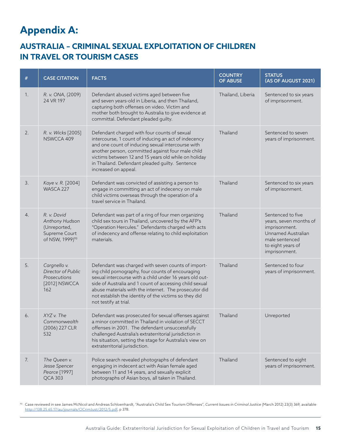## **Appendix A:**

## **AUSTRALIA – CRIMINAL SEXUAL EXPLOITATION OF CHILDREN IN TRAVEL OR TOURISM CASES**

| $\#$ | <b>CASE CITATION</b>                                                                          | <b>FACTS</b>                                                                                                                                                                                                                                                                                                                                                             | <b>COUNTRY</b><br><b>OF ABUSE</b> | <b>STATUS</b><br>(AS OF AUGUST 2021)                                                                                                       |
|------|-----------------------------------------------------------------------------------------------|--------------------------------------------------------------------------------------------------------------------------------------------------------------------------------------------------------------------------------------------------------------------------------------------------------------------------------------------------------------------------|-----------------------------------|--------------------------------------------------------------------------------------------------------------------------------------------|
| 1.   | R. v. ONA, (2009)<br>24 VR 197                                                                | Defendant abused victims aged between five<br>and seven years-old in Liberia, and then Thailand,<br>capturing both offenses on video. Victim and<br>mother both brought to Australia to give evidence at<br>committal. Defendant pleaded guilty.                                                                                                                         | Thailand, Liberia                 | Sentenced to six years<br>of imprisonment.                                                                                                 |
| 2.   | R. v. Wicks [2005]<br>NSWCCA 409                                                              | Defendant charged with four counts of sexual<br>intercourse, 1 count of inducing an act of indecency<br>and one count of inducing sexual intercourse with<br>another person, committed against four male child<br>victims between 12 and 15 years old while on holiday<br>in Thailand. Defendant pleaded guilty. Sentence<br>increased on appeal.                        | Thailand                          | Sentenced to seven<br>years of imprisonment.                                                                                               |
| 3.   | Kaye v. R. [2004]<br>WASCA 227                                                                | Defendant was convicted of assisting a person to<br>engage in committing an act of indecency on male<br>child victims overseas through the operation of a<br>travel service in Thailand.                                                                                                                                                                                 | Thailand                          | Sentenced to six years<br>of imprisonment.                                                                                                 |
| 4.   | R. v. David<br>Anthony Hudson<br>(Unreported,<br>Supreme Court<br>of NSW, 1999) <sup>93</sup> | Defendant was part of a ring of four men organizing<br>child sex tours in Thailand, uncovered by the AFP's<br>"Operation Hercules." Defendants charged with acts<br>of indecency and offense relating to child exploitation<br>materials.                                                                                                                                | Thailand                          | Sentenced to five<br>years, seven months of<br>imprisonment.<br>Unnamed Australian<br>male sentenced<br>to eight years of<br>imprisonment. |
| 5.   | Cargnello v.<br>Director of Public<br>Prosecutions<br>[2012] NSWCCA<br>162                    | Defendant was charged with seven counts of import-<br>ing child pornography, four counts of encouraging<br>sexual intercourse with a child under 16 years old out-<br>side of Australia and 1 count of accessing child sexual<br>abuse materials with the internet. The prosecutor did<br>not establish the identity of the victims so they did<br>not testify at trial. | Thailand                          | Sentenced to four<br>years of imprisonment.                                                                                                |
| 6.   | XYZ v. The<br>Commonwealth<br>(2006) 227 CLR<br>532                                           | Defendant was prosecuted for sexual offenses against<br>a minor committed in Thailand in violation of SECCT<br>offenses in 2001. The defendant unsuccessfully<br>challenged Australia's extraterritorial jurisdiction in<br>his situation, setting the stage for Australia's view on<br>extraterritorial jurisdiction.                                                   | Thailand                          | Unreported                                                                                                                                 |
| 7.   | The Queen v.<br>Jesse Spencer<br>Pearce [1997]<br><b>QCA 303</b>                              | Police search revealed photographs of defendant<br>engaging in indecent act with Asian female aged<br>between 11 and 14 years, and sexually explicit<br>photographs of Asian boys, all taken in Thailand.                                                                                                                                                                | Thailand                          | Sentenced to eight<br>years of imprisonment.                                                                                               |

<sup>93</sup> Case reviewed in see James McNicol and Andreas Schloenhardt, "Australia's Child Sex Tourism Offenses", *Current Issues in Criminal Justice* (March 2012) 23(3) 369, available http://138.25.65.17/au/journals/CICrimJust/2012/5.pdf, p 378.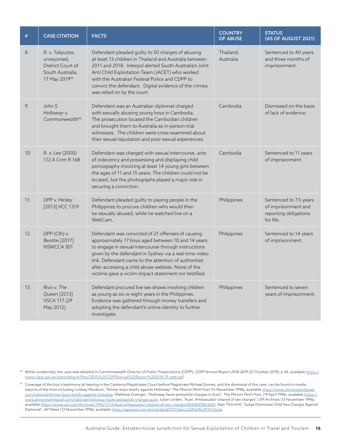| $\#$ | <b>CASE CITATION</b>                                                                     | <b>FACTS</b>                                                                                                                                                                                                                                                                                                                                                                                     | <b>COUNTRY</b><br><b>OF ABUSE</b> | <b>STATUS</b><br>(AS OF AUGUST 2021)                                                |  |
|------|------------------------------------------------------------------------------------------|--------------------------------------------------------------------------------------------------------------------------------------------------------------------------------------------------------------------------------------------------------------------------------------------------------------------------------------------------------------------------------------------------|-----------------------------------|-------------------------------------------------------------------------------------|--|
| 8.   | R. v. Tokputza,<br>unreported,<br>District Court of<br>South Australia,<br>17 May 201994 | Defendant pleaded guilty to 50 charges of abusing<br>at least 13 children in Thailand and Australia between<br>2011 and 2018. Interpol alerted South Australia's Joint<br>Anti Child Exploitation Team (JACET) who worked<br>with the Australian Federal Police and CDPP to<br>convict the defendant. Digital evidence of the crimes<br>was relied on by the court.                              | Thailand,<br>Australia            | Sentenced to 40 years<br>and three months of<br>imprisonment.                       |  |
| 9.   | John S.<br>Holloway v.<br>Commonwealth <sup>95</sup>                                     | Defendant was an Australian diplomat charged<br>with sexually abusing young boys in Cambodia.<br>The prosecution located the Cambodian children<br>and brought them to Australia as in-person trial<br>witnesses. The children were cross-examined about<br>their sexual reputation and prior sexual experiences.                                                                                | Cambodia                          | Dismissed on the basis<br>of lack of evidence.                                      |  |
| 10.  | R. v. Lee (2000)<br>112 A Crim R 168                                                     | Defendant was charged with sexual intercourse, acts<br>of indecency and possessing and displaying child<br>pornography involving at least 14 young girls between<br>the ages of 11 and 15 years. The children could not be<br>located, but the photographs played a major role in<br>securing a conviction.                                                                                      | Cambodia                          | Sentenced to 11 years<br>of imprisonment.                                           |  |
| 11.  | DPP v. Hickey<br>[2013] VCC 1319                                                         | Defendant pleaded guilty to paying people in the<br>Philippines to procure children who would then<br>be sexually abused, while he watched live on a<br>WebCam                                                                                                                                                                                                                                   | Philippines                       | Sentenced to 7.5 years<br>of imprisonment and<br>reporting obligations<br>for life. |  |
| 12.  | DPP (Cth) v.<br>Beattie [2017]<br>NSWCCA 301                                             | Defendant was convicted of 21 offenses of causing<br>approximately 17 boys aged between 10 and 14 years<br>to engage in sexual intercourse through instructions<br>given by the defendant in Sydney via a real-time video<br>link. Defendant came to the attention of authorities<br>after accessing a child abuse website. None of the<br>victims gave a victim impact statement nor testified. | Philippines                       | Sentenced to 14 years<br>of imprisonment.                                           |  |
| 13.  | Rivo v. The<br>Queen [2013]<br><b>VSCA 117 (29</b><br>May 2012)                          | Defendant procured live sex shows involving children<br>as young as six or eight years in the Philippines.<br>Evidence was gathered through money transfers and<br>adopting the defendant's online identity to further<br>investigate.                                                                                                                                                           | Philippines                       | Sentenced to seven<br>years of imprisonment.                                        |  |

94 While unreported, the case was detailed in Commonwealth Director of Public Prosecutions (CDPP), CDPP Annual Report 2018-2019 (21 October 2019), p 34, available https:// www.cdpp.gov.au/sites/default/files/19292%20CDPPAnnual%20Report%202018-19\_web.pdf.

<sup>95</sup> Coverage of the boy's testimony at hearing in the Canberra Magistrates Court before Magistrate Michael Somes, and the dismissal of the case, can be found in media reports of the time including Lindsay Murdoch, "Khmer boys testify against Holloway" *The Phnom Penh Post* (15 November 1996), available https://www.phnompenhpost. com/national/khmer-boys-testify-against-holloway; Matthew Grainger, "Holloway faces pedophile charges in Aust", *The Phnom Penh Post*, (19 April 1996), available https:// www.phnompenhpost.com/national/holloway-faces-pedophile-charges-aust; Julian Linden, "Aust. Ambassador cleared of sex charges", *UPI Archives* (13 November 1996), available https://www.upi.com/Archives/1996/11/13/Aust-ambassador-cleared-of-sex-charges/8325847861200/; Alan Thornhill, "Judge Dismisses Child Sex Charges Against Diplomat", *AP News* (13 November 1996), available https://apnews.com/article/6bd257073abcc3339a78c3ff1f212a2a.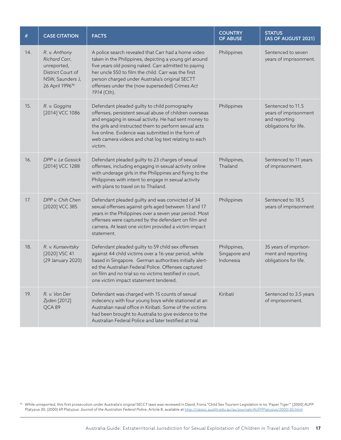| $\#$ | <b>CASE CITATION</b>                                                                                                  | <b>FACTS</b>                                                                                                                                                                                                                                                                                                                                       | <b>COUNTRY</b><br><b>OF ABUSE</b>          | <b>STATUS</b><br>(AS OF AUGUST 2021)                                                 |
|------|-----------------------------------------------------------------------------------------------------------------------|----------------------------------------------------------------------------------------------------------------------------------------------------------------------------------------------------------------------------------------------------------------------------------------------------------------------------------------------------|--------------------------------------------|--------------------------------------------------------------------------------------|
| 14.  | R. v. Anthony<br>Richard Carr,<br>unreported,<br>District Court of<br>NSW, Saunders J,<br>26 April 1996 <sup>96</sup> | A police search revealed that Carr had a home video<br>taken in the Philippines, depicting a young girl around<br>five years old posing naked. Carr admitted to paying<br>her uncle \$50 to film the child. Carr was the first<br>person charged under Australia's original SECTT<br>offenses under the (now superseded) Crimes Act<br>1914 (Cth). | Philippines                                | Sentenced to seven<br>years of imprisonment.                                         |
| 15.  | R. v. Goggins<br>[2014] VCC 1086                                                                                      | Defendant pleaded guilty to child pornography<br>offenses, persistent sexual abuse of children overseas<br>and engaging in sexual activity. He had sent money to<br>the girls and instructed them to perform sexual acts<br>live online. Evidence was submitted in the form of<br>web camera videos and chat log text relating to each<br>victim.  | Philippines                                | Sentenced to 11.5<br>years of imprisonment<br>and reporting<br>obligations for life. |
| 16.  | DPP v. Le Gassick<br>[2014] VCC 1288                                                                                  | Defendant pleaded guilty to 23 charges of sexual<br>offenses, including engaging in sexual activity online<br>with underage girls in the Philippines and flying to the<br>Philippines with intent to engage in sexual activity<br>with plans to travel on to Thailand.                                                                             | Philippines,<br>Thailand                   | Sentenced to 11 years<br>of imprisonment.                                            |
| 17.  | DPP v. Chih Chen<br>[2020] VCC 385                                                                                    | Defendant pleaded guilty and was convicted of 34<br>sexual offenses against girls aged between 13 and 17<br>years in the Philippines over a seven year period. Most<br>offenses were captured by the defendant on film and<br>camera. At least one victim provided a victim impact<br>statement.                                                   | Philippines                                | Sentenced to 18.5<br>years of imprisonment                                           |
| 18.  | R. v. Kunsevitsky<br>[2020] VSC 41<br>(29 January 2020)                                                               | Defendant pleaded guilty to 59 child sex offenses<br>against 44 child victims over a 16-year period, while<br>based in Singapore. German authorities initially alert-<br>ed the Australian Federal Police. Offenses captured<br>on film and no trial so no victims testified in court,<br>one victim impact statement tendered.                    | Philippines,<br>Singapore and<br>Indonesia | 35 years of imprison-<br>ment and reporting<br>obligations for life.                 |
| 19.  | R. v. Van Der<br>Zyden [2012]<br>QCA89                                                                                | Defendant was charged with 15 counts of sexual<br>indecency with four young boys while stationed at an<br>Australian naval office in Kiribati. Some of the victims<br>had been brought to Australia to give evidence to the<br>Australian Federal Police and later testified at trial.                                                             | Kiribati                                   | Sentenced to 3.5 years<br>of imprisonment.                                           |

 $^{\text{\tiny{96}}}$  While unreported, this first prosecution under Australia's original SECCT laws was reviewed in David, Fiona "Child Sex Tourism Legislation is no 'Paper Tiger'" [2000] AUFP Platypus 30; (2000) 69 Platypus: *Journal of the Australian Federal Police*, Article 8, available at http://classic.austlii.edu.au/au/journals/AUFPPlatypus/2000/30.html.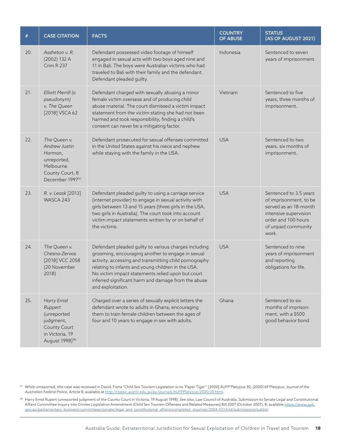| $\#$ | <b>CASE CITATION</b>                                                                                                | <b>FACTS</b>                                                                                                                                                                                                                                                                                                                                                | <b>COUNTRY</b><br><b>OF ABUSE</b> | <b>STATUS</b><br>(AS OF AUGUST 2021)                                                                                                                      |
|------|---------------------------------------------------------------------------------------------------------------------|-------------------------------------------------------------------------------------------------------------------------------------------------------------------------------------------------------------------------------------------------------------------------------------------------------------------------------------------------------------|-----------------------------------|-----------------------------------------------------------------------------------------------------------------------------------------------------------|
| 20.  | Assheton v. R.<br>(2002) 132 A<br>Crim R 237                                                                        | Defendant possessed video footage of himself<br>engaged in sexual acts with two boys aged nine and<br>11 in Bali. The boys were Australian victims who had<br>traveled to Bali with their family and the defendant.<br>Defendant pleaded guilty.                                                                                                            | Indonesia                         | Sentenced to seven<br>years of imprisonment.                                                                                                              |
| 21.  | Elliott Merrill (a<br>pseudonym)<br>v. The Queen<br>[2018] VSCA 62                                                  | Defendant charged with sexually abusing a minor<br>female victim overseas and of producing child<br>abuse material. The court dismissed a victim impact<br>statement from the victim stating she had not been<br>harmed and took responsibility, finding a child's<br>consent can never be a mitigating factor.                                             | Vietnam                           | Sentenced to five<br>years, three months of<br>imprisonment.                                                                                              |
| 22.  | The Queen v.<br>Andrew Justin<br>Harman,<br>unreported,<br>Melbourne<br>County Court, 8<br>December 199797          | Defendant prosecuted for sexual offenses committed<br>in the United States against his niece and nephew<br>while staying with the family in the USA.                                                                                                                                                                                                        | <b>USA</b>                        | Sentenced to two<br>years, six months of<br>imprisonment.                                                                                                 |
| 23.  | R. v. Leask [2013]<br>WASCA 243                                                                                     | Defendant pleaded guilty to using a carriage service<br>(internet provider) to engage in sexual activity with<br>girls between 13 and 15 years (three girls in the USA,<br>two girls in Australia). The court took into account<br>victim impact statements written by or on behalf of<br>the victims.                                                      | <b>USA</b>                        | Sentenced to 3.5 years<br>of imprisonment, to be<br>served as an 18-month<br>intensive supervision<br>order and 100 hours<br>of unpaid community<br>work. |
| 24.  | The Queen v.<br>Chesna-Zervos<br>[2018] VCC 2058<br>(20 November<br>2018)                                           | Defendant pleaded guilty to various charges including<br>grooming, encouraging another to engage in sexual<br>activity, accessing and transmitting child pornography<br>relating to infants and young children in the USA.<br>No victim impact statements relied upon but court<br>inferred significant harm and damage from the abuse<br>and exploitation. | <b>USA</b>                        | Sentenced to nine<br>years of imprisonment<br>and reporting<br>obligations for life.                                                                      |
| 25.  | Harry Ernst<br>Ruppert<br>(unreported<br>judgment,<br>County Court<br>in Victoria, 19<br>August 1998) <sup>98</sup> | Charged over a series of sexually explicit letters the<br>defendant wrote to adults in Ghana, encouraging<br>them to train female children between the ages of<br>four and 10 years to engage in sex with adults.                                                                                                                                           | Ghana                             | Sentenced to six<br>months of imprison-<br>ment, with a \$500<br>good behavior bond.                                                                      |

<sup>97</sup> While unreported, this case was reviewed in David, Fiona "Child Sex Tourism Legislation is no 'Paper Tiger'" [2000] AUFP Platypus 30; (2000) 69 Platypus: *Journal of the Australian Federal Police*, Article 8, available at http://classic.austlii.edu.au/au/journals/AUFPPlatypus/2000/30.html.

<sup>98</sup> Harry Ernst Rupert (unreported judgment of the County Court in Victoria, 19 August 1998). *See also*, Law Council of Australia, Submission to Senate Legal and Constitutional Affairs Committee Inquiry into Crimes Legislation Amendment (Child Sex Tourism Offenses and Related Measures) Bill 2007 (October 2007), 8, available https://www.aph. gov.au/parliamentary\_business/committees/senate/legal\_and\_constitutional\_affairs/completed\_inquiries/2004-07/child/submissions/sublist.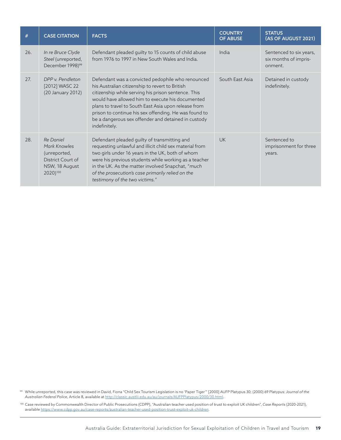| #   | <b>CASE CITATION</b>                                                                         | <b>FACTS</b>                                                                                                                                                                                                                                                                                                                                                                                             | <b>COUNTRY</b><br><b>OF ABUSE</b> | <b>STATUS</b><br>(AS OF AUGUST 2021)                        |
|-----|----------------------------------------------------------------------------------------------|----------------------------------------------------------------------------------------------------------------------------------------------------------------------------------------------------------------------------------------------------------------------------------------------------------------------------------------------------------------------------------------------------------|-----------------------------------|-------------------------------------------------------------|
| 26. | In re Bruce Clyde<br>Steel (unreported,<br>December 1998) <sup>99</sup>                      | Defendant pleaded guilty to 15 counts of child abuse<br>from 1976 to 1997 in New South Wales and India.                                                                                                                                                                                                                                                                                                  | India                             | Sentenced to six years,<br>six months of impris-<br>onment. |
| 27. | DPP v Pendleton<br>[2012] WASC 22<br>(20 January 2012)                                       | Defendant was a convicted pedophile who renounced<br>his Australian citizenship to revert to British<br>citizenship while serving his prison sentence. This<br>would have allowed him to execute his documented<br>plans to travel to South East Asia upon release from<br>prison to continue his sex offending. He was found to<br>be a dangerous sex offender and detained in custody<br>indefinitely. | South East Asia                   | Detained in custody<br>indefinitely.                        |
| 28. | Re Daniel<br>Mark Knowles<br>(unreported,<br>District Court of<br>NSW, 18 August<br>2020)100 | Defendant pleaded guilty of transmitting and<br>requesting unlawful and illicit child sex material from<br>two girls under 16 years in the UK, both of whom<br>were his previous students while working as a teacher<br>in the UK. As the matter involved Snapchat, "much<br>of the prosecution's case primarily relied on the<br>testimony of the two victims."                                         | <b>UK</b>                         | Sentenced to<br>imprisonment for three<br>years.            |

<sup>99</sup> While unreported, this case was reviewed in David, Fiona "Child Sex Tourism Legislation is no 'Paper Tiger'" [2000] AUFP Platypus 30; (2000) 69 Platypus: *Journal of the Australian Federal Police*, Article 8, available at http://classic.austlii.edu.au/au/journals/AUFPPlatypus/2000/30.html.

<sup>100</sup> Case reviewed by Commonwealth Director of Public Prosecutions (CDPP), "Australian teacher used position of trust to exploit UK children", *Case Reports* (2020-2021), available https://www.cdpp.gov.au/case-reports/australian-teacher-used-position-trust-exploit-uk-children.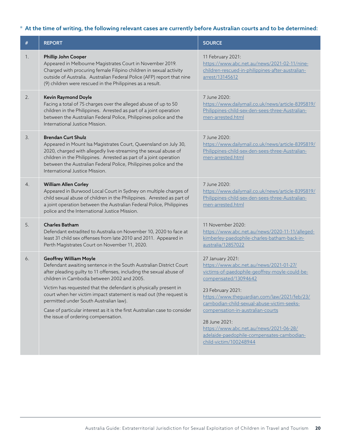## \* At the time of writing, the following relevant cases are currently before Australian courts and to be determined:

| #  | <b>REPORT</b>                                                                                                                                                                                                                                                                                                                                                                                                                                                                                                                      | <b>SOURCE</b>                                                                                                                                                                                                                                                                                                                                                                                                                     |
|----|------------------------------------------------------------------------------------------------------------------------------------------------------------------------------------------------------------------------------------------------------------------------------------------------------------------------------------------------------------------------------------------------------------------------------------------------------------------------------------------------------------------------------------|-----------------------------------------------------------------------------------------------------------------------------------------------------------------------------------------------------------------------------------------------------------------------------------------------------------------------------------------------------------------------------------------------------------------------------------|
| 1. | Phillip John Cooper<br>Appeared in Melbourne Magistrates Court in November 2019.<br>Charged with procuring female Filipino children in sexual activity<br>outside of Australia. Australian Federal Police (AFP) report that nine<br>(9) children were rescued in the Philippines as a result.                                                                                                                                                                                                                                      | 11 February 2021:<br>https://www.abc.net.au/news/2021-02-11/nine-<br>children-rescued-in-philippines-after-australian-<br>arrest/13145612                                                                                                                                                                                                                                                                                         |
| 2. | Kevin Raymond Doyle<br>Facing a total of 75 charges over the alleged abuse of up to 50<br>children in the Philippines. Arrested as part of a joint operation<br>between the Australian Federal Police, Philippines police and the<br>International Justice Mission.                                                                                                                                                                                                                                                                | 7 June 2020:<br>https://www.dailymail.co.uk/news/article-8395819/<br>Philippines-child-sex-den-sees-three-Australian-<br>men-arrested.html                                                                                                                                                                                                                                                                                        |
| 3. | <b>Brendan Curt Shulz</b><br>Appeared in Mount Isa Magistrates Court, Queensland on July 30,<br>2020, charged with allegedly live-streaming the sexual abuse of<br>children in the Philippines. Arrested as part of a joint operation<br>between the Australian Federal Police, Philippines police and the<br>International Justice Mission.                                                                                                                                                                                       | 7 June 2020:<br>https://www.dailymail.co.uk/news/article-8395819/<br>Philippines-child-sex-den-sees-three-Australian-<br>men-arrested.html                                                                                                                                                                                                                                                                                        |
| 4. | <b>William Allen Corley</b><br>Appeared in Burwood Local Court in Sydney on multiple charges of<br>child sexual abuse of children in the Philippines. Arrested as part of<br>a joint operation between the Australian Federal Police, Philippines<br>police and the International Justice Mission.                                                                                                                                                                                                                                 | 7 June 2020:<br>https://www.dailymail.co.uk/news/article-8395819/<br>Philippines-child-sex-den-sees-three-Australian-<br>men-arrested.html                                                                                                                                                                                                                                                                                        |
| 5. | <b>Charles Batham</b><br>Defendant extradited to Australia on November 10, 2020 to face at<br>least 31 child sex offenses from late 2010 and 2011. Appeared in<br>Perth Magistrates Court on November 11, 2020.                                                                                                                                                                                                                                                                                                                    | 11 November 2020:<br>https://www.abc.net.au/news/2020-11-11/alleged-<br>kimberley-paedophile-charles-batham-back-in-<br>australia/12857022                                                                                                                                                                                                                                                                                        |
| 6. | <b>Geoffrey William Moyle</b><br>Defendant awaiting sentence in the South Australian District Court<br>after pleading guilty to 11 offenses, including the sexual abuse of<br>children in Cambodia between 2002 and 2005.<br>Victim has requested that the defendant is physically present in<br>court when her victim impact statement is read out (the request is<br>permitted under South Australian law).<br>Case of particular interest as it is the first Australian case to consider<br>the issue of ordering compensation. | 27 January 2021:<br>https://www.abc.net.au/news/2021-01-27/<br>victims-of-paedophile-geoffrey-moyle-could-be-<br>compensated/13094642<br>23 February 2021:<br>https://www.theguardian.com/law/2021/feb/23/<br>cambodian-child-sexual-abuse-victim-seeks-<br>compensation-in-australian-courts<br>28 June 2021:<br>https://www.abc.net.au/news/2021-06-28/<br>adelaide-paedophile-compensates-cambodian-<br>child-victim/100248944 |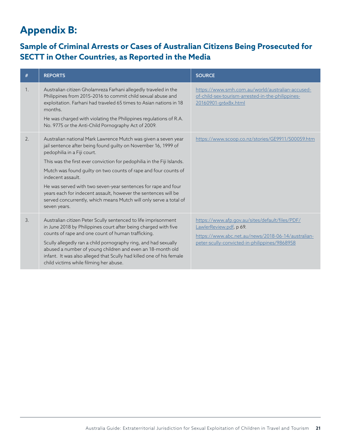## **Appendix B:**

## **Sample of Criminal Arrests or Cases of Australian Citizens Being Prosecuted for SECTT in Other Countries, as Reported in the Media**

| $\#$ | <b>REPORTS</b>                                                                                                                                                                                                                                                                                                                                                                                                                                                                                                                                            | <b>SOURCE</b>                                                                                                                                                                     |
|------|-----------------------------------------------------------------------------------------------------------------------------------------------------------------------------------------------------------------------------------------------------------------------------------------------------------------------------------------------------------------------------------------------------------------------------------------------------------------------------------------------------------------------------------------------------------|-----------------------------------------------------------------------------------------------------------------------------------------------------------------------------------|
| 1.   | Australian citizen Gholamreza Farhani allegedly traveled in the<br>Philippines from 2015-2016 to commit child sexual abuse and<br>exploitation. Farhani had traveled 65 times to Asian nations in 18<br>months.<br>He was charged with violating the Philippines regulations of R.A.<br>No. 9775 or the Anti-Child Pornography Act of 2009.                                                                                                                                                                                                               | https://www.smh.com.au/world/australian-accused-<br>of-child-sex-tourism-arrested-in-the-philippines-<br>20160901-gr6x8x.html                                                     |
| 2.   | Australian national Mark Lawrence Mutch was given a seven year<br>jail sentence after being found guilty on November 16, 1999 of<br>pedophilia in a Fiji court.<br>This was the first ever conviction for pedophilia in the Fiji Islands.<br>Mutch was found quilty on two counts of rape and four counts of<br>indecent assault.<br>He was served with two seven-year sentences for rape and four<br>years each for indecent assault, however the sentences will be<br>served concurrently, which means Mutch will only serve a total of<br>seven years. | https://www.scoop.co.nz/stories/GE9911/S00059.htm                                                                                                                                 |
| 3.   | Australian citizen Peter Scully sentenced to life imprisonment<br>in June 2018 by Philippines court after being charged with five<br>counts of rape and one count of human trafficking.<br>Scully allegedly ran a child pornography ring, and had sexually<br>abused a number of young children and even an 18-month old<br>infant. It was also alleged that Scully had killed one of his female<br>child victims while filming her abuse.                                                                                                                | https://www.afp.gov.au/sites/default/files/PDF/<br>LawlerReview.pdf, p 69.<br>https://www.abc.net.au/news/2018-06-14/australian-<br>peter-scully-convicted-in-philippines/9868958 |